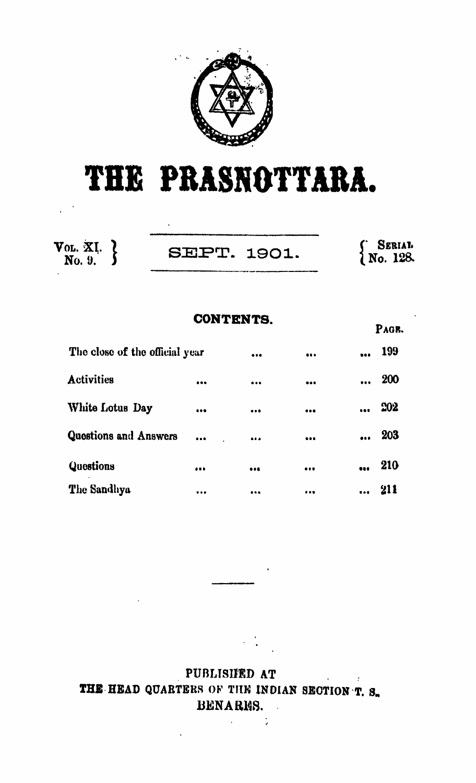

# **THE PRASNOTTARA.**

| Vol. XI. $\lambda$<br>No. 9. | <b>SEPT. 1901.</b> | <b>SERIAL</b><br>$N_0$ . 128. |
|------------------------------|--------------------|-------------------------------|

|                                | <b>CONTENTS.</b> |                          |       |
|--------------------------------|------------------|--------------------------|-------|
|                                |                  |                          | PAGE. |
| The close of the official year |                  | <br>$\ddot{\phantom{a}}$ | 199   |
| <b>Activities</b>              | <br>             | <br>$\cdots$             | 200   |
| White Lotus Day                | <br>             |                          | 202   |
| <b>Questions and Answers</b>   | <br>             | <br>$\ddot{\phantom{a}}$ | 203   |
| Questions                      | <br>             | <br>$\ddot{\phantom{a}}$ | 210   |
| The Sandhya                    | <br>             |                          | 211   |

PUBLISHED AT  $\tau$ THE HEAD QUARTERS OF THE INDIAN SECTION T. S. 13ENARM8.

> $\mathcal{L}^{\text{max}}$  $\rightarrow$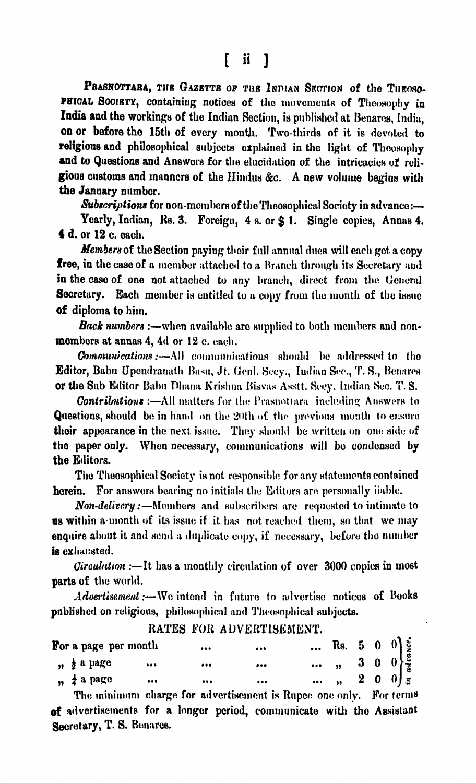[ ii 1

PRASNOTTARA, THE GAZETTE OF THE INDIAN SECTION of the THEOSO-PHIOAL SOCIETY, containing notices of the movements of Theosophy in **India and the workings of the Indian Section, is published at Benares, India, on or before the 15th of every month. Two-thirds of it is devoted to religions and philosophical subjects explained in the light of Theosophy** and to Questions and Answers for the elucidation of the intricacies of reli**gions customs and manners of the Hindus &c. A new volume begins with the January number.**

*Subscriptions* **for non •members of the Theosophical Society in advance :—** Yearly, Indian, Rs. 3. Foreign, 4 s. or  $\hat{\mathbf{s}}$  1. Single copies, Annas 4. **4 d. or 12 c. each.**

*Members* **of the Section paying their full annual dues will each got a copy free, in the case of a member attached to a Branch through its Secretary and in the case of one not attached to any branch, direct from the General Secretary. Each member is entitled to a copy from the month of the ismic of diploma to him.**

*B ack numbers* **:—when available are supplied to both members and nonmembers at annas 4, 4d or 12 c. each.**

*Communications* **:—All communications should he addressed to the Editor, Balm Upcndranath Basil, Jt. (ienl. Secy., Indian See., T. S., Benares or the Sub Editor Balm Pliana Krishna Bisvas Asstt. Secy. Indian Sec. T. S.**

*Contributions* :—All matters for the Prasnottara including Answers to **Questions, should** be in hand on the 20th of the previous month to ensure **their appearance in the next issue.** They should be written on one side of **the paper only. When necessary, communications will bo condensed by the Editors.**

**The Theosophical Society is not responsible for any statements contained herein.** For answers bearing no initials the Editors are personally liable.

**Non-delivery**:—Members and subscribers are requested to intimate to **us within a month of its issue if it has not reached them, so that we may** enquire about it and send a duplicate copy, if necessary, before the number **is exhausted.**

*Circulation* **:— It has a monthly circulation of over 3000 copies in most parts of the world.**

Advertisement :—We intend in future to advertise notices of Books **published on religious, philosophical and Theosophical subjects.**

| For a page per month |              |          |  |  | Rs. 5 0 0 $\begin{bmatrix} 1 & 1 & 1 \\ 0 & 1 & 1 \\ 0 & 0 & 0 \\ 0 & 0 & 0 \\ 0 & 0 & 0 \end{bmatrix}$ |
|----------------------|--------------|----------|--|--|---------------------------------------------------------------------------------------------------------|
| " a page             | <br>$\cdots$ |          |  |  |                                                                                                         |
| $, 1$ a page         | <br>         | $\cdots$ |  |  |                                                                                                         |

**RATES FOR ADVERTISEMENT.**

**The minimum charge for advertisement is Rupee one only. For ternia of advertisements for a longer period, communicato with tho Assistant** Secretary, **T. S. Benares.**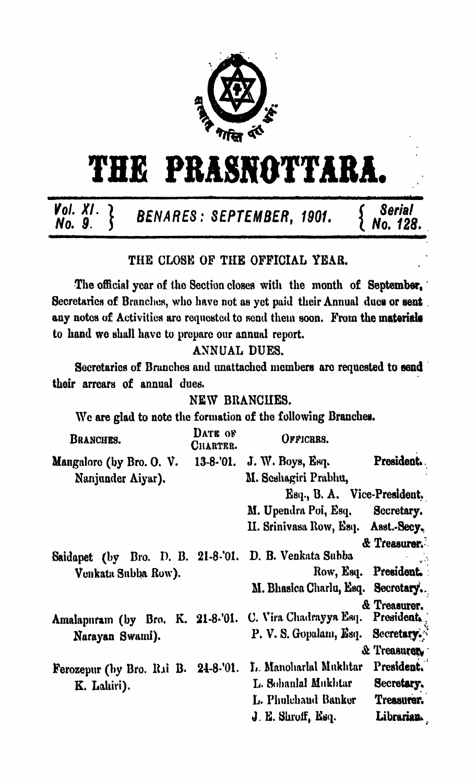

# **THE PRASNOTTARA.**

# *'no. 91.'* **}** *BENARES: SEPTEMBER, 1901.* **{** *N o ? 128.*

#### THE CLOSE OF THE OFFICIAL YEAR.

The official year of the Section closes with the month of September, Secretaries of Branches, who have not as yet paid their Annual dues or sent. any notes of Activities are requested to send them soon. From the materials to hand wo shall have to prepare our annual report.

### ANNUAL DUES.

Secretaries of Branches and unattached members are requested to send their arrears of annual dues.

#### NEW BRANCHES.

Wc are glad to note the formation of the following Branches.

| BRANCHES.                                                          | DATE OF<br>CHARTER. | OFFICRRS.                           |                        |
|--------------------------------------------------------------------|---------------------|-------------------------------------|------------------------|
| Mangalore (by Bro. O. V.                                           | $13-8-01.$          | J. W. Boys, Esq.                    | President.             |
| Nanjunder Aiyar).                                                  |                     | M. Seshagiri Prabhu,                |                        |
|                                                                    |                     | Esq., B. A. Vice-President.         |                        |
|                                                                    |                     | M. Upendra Poi, Esq. Secretary.     |                        |
|                                                                    |                     | II. Srinivasa Row, Esq. Asst.-Secy. |                        |
|                                                                    |                     |                                     | & Treasurer.           |
| Saidapet (by Bro. D. B. 21-8-'01. D. B. Venkata Subba              |                     |                                     |                        |
| Venkata Subba Row).                                                |                     |                                     | Row, Esq. President.   |
|                                                                    |                     | M. Bhasica Charlu, Esq. Secretary.  |                        |
| Amalapuram (by Bro. K. 21-8-'01. C. Vira Chadrayya Esq. President. |                     |                                     | & Treasurer.           |
| Narayan Swami).                                                    |                     | P. V. S. Gopalam, Esq. Secretary.   |                        |
|                                                                    |                     |                                     | <b>&amp; Treasurer</b> |
| Ferozepur (by Bro. Rai B. 24-8-'01.                                |                     | L. Manoharlal Mukhtar               | President.             |
| K. Lahiri).                                                        |                     | L. Sohanlal Mukhtar                 | Secretary.             |
|                                                                    |                     | L. Phulchand Banker                 | Treasurer.             |
|                                                                    |                     | J. E. Shroff, Esq.                  | Librarian.             |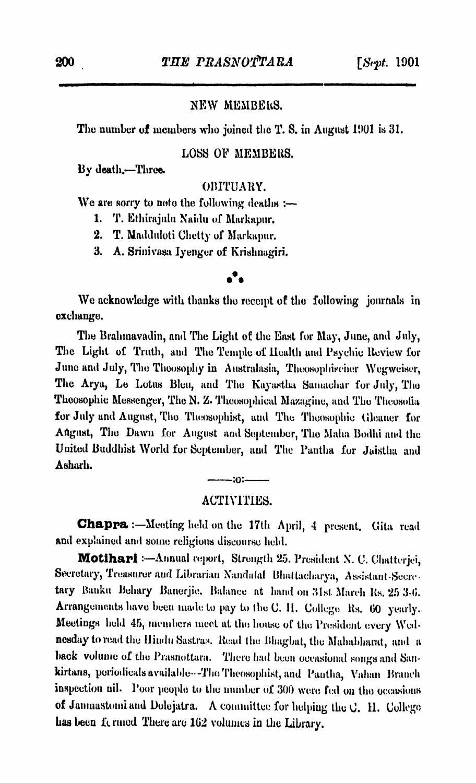#### **NEW MEMBERS.**

The number of members who joined the T. S. in August 1901 is 31.

#### **LOSS OF MEMBERS.**

By death.—1Three.

#### OBITUARY.

**We are sorry to noto the following deaths :—**

- **1. T. Ethirajulu Naidu of Markapur.**
- **2. T. Madduloti Clietty of Markapur.**
- **3. A. Srinivasa Iyengor of Krishnagiri.**

#### • \*

We acknowledge with thanks the recent of the following journals in **exchange.**

The Brahmavadin, and The Light of the East for May, June, and July, The Light of Truth, and The Temple of Health and Psychic Review for June and July, The Theosophy in Australasia, Theosophischer Wegweiser, **The Arya, Le Lotus Bleu, and The Kayastha Sumachar for July, Tho Thcosophie Messenger, The N. Z. Theosophieal Muzaginc, and The Tlioosoliu for July and August, The Theosophist, and The Theosophic Gleaner for Aflgust, The Dawn for August and September, The Malm Bodhi and the United Buddhist World for September, and The Pantlia for Jaistha and Asharh.**

 $-30$ 

#### ACTIVITIES.

**C h& ppa Meeting held on the 17th April, 4 present. Gita read and explained and some religious discourse held.**

**M o tih a r i -Annual report, Strength 25. President X. C. Clmtterjei,** Secretary, Treasurer and Librarian Nandalal Bhattacharya, Assistant-Secre**tary Bauku Behary Banerjie. Balance at hand on 31st March Ks. 25 3-1». Arrangements have been made to pay to the C. II. College Hs. 00 yearly. Meetings held 45, members meet at the house of the President every Wednesday to read the Hindu Sustrus. Bead the Bliagbat, the Mahahharat, and a** back volume of the Prasnottara. There had been occasional songs and San**kirtans, periodicals available-■■ -The Tlieosophist, and Pantlia, Valian Branch inspection nil. Poor people to the number of 300 were, fed on the occasions** of Jannastomi and Dolejatra. A committee for helping the C. H. College **has been i'c rmed There are 102 volumes in the Library.**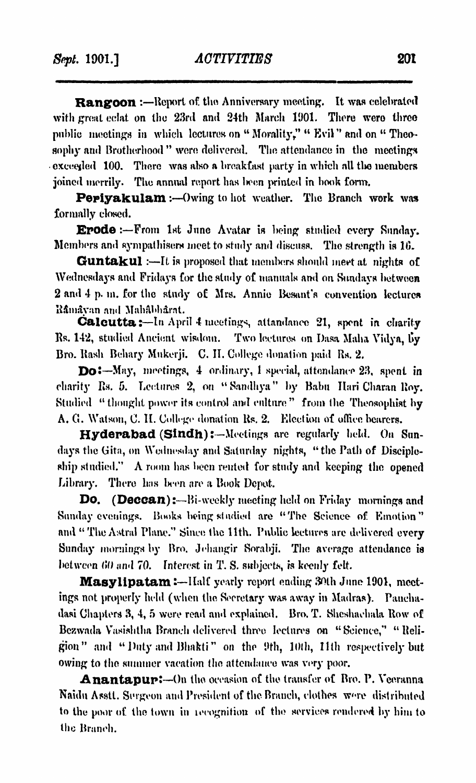**Rangoon \*•—Report of. tho Anniversary meeting. It was celebrated** with great eclat, on the 23rd and 24th March 1901. There were three public meetings in which lectures on "Morality," " Evil " and on " Theosophy and Brotherhood" were delivered. The attendance in the meetings **exceeded 100. There was also a breakfast party in which nil tlio members joined merrily. The annual report has lieen printed in book form.**

**Pepiyakulam :—Owing to hot weather. The Branch work was formally closed.**

**Erode From 1st June Avatar is being studied every Sunday. Members «and sympathisers meet to study and discuss. Tho strength is 16.**

**Guntakul :—It is proposed that members should meet at nights of Wednesdays and Fridays for the study of manuals and on Sundays between 2 and 4 p. m. for the study of Mrs. Annie Besant's convention lectures R&mayun and Mahahh&nt.**

**Calcutta:** -- In April 4 meetings, attandance 21, spent in charity **Its. 142, studied Ancient wisdom. Two lectures on I)asa Malta Yidya, fiy Bro. Bash Bchary Mukerji. C. II. College donation paid Rs. 2.**

DoS—**May, mootings, 4 ordinary, 1 special, attendance 23, spent in charity Rs. 5. Lectures 2, on " Sandhya" by Balm Ilari Charan Roy. Studied " thought power its control ami culture" from the Theosophist by** A. G. Watson, C. H. College donation Rs. 2. Election of office bearers.

**Hyderabad (Sindh):—Meetings are regularly held. On Sundays the Gita, on Wednesday and Saturday nights, "the Rath of Discipleship studied." A room has been rented for study and keeping tho opened** Library. There has been are a Book Depot.

**Do.** (**Deccan**):—Bi-weekly meeting held on Friday mornings and **Sunday evenings. Bonks being studied are "The Science of Emotion" and 11 Tho Astral Plane." Since the 11th. Public lectures are delivered every Sunday mornings by Bro. Jehangir Sorabji. The average attendance is between 60 and 70. Interest in T. S. subjects, is keenly felt.**

**Masylipatam:** --IIalf yearly report ending 30th June 1901, meet**ings not properly held (when the Secretary was away in Madras). Paucha**dasi Chapters 3, 4, 5 were read and explained. Bro. T. Sheshachala Row of Bezwada Vasishtha Branch delivered three lectures on "Science," "Reli**gion" and " Duty and llliakti" on the 9th, 10th, 11th respectively but owing to the summer vacation the attendance was very poor.**

**Anantapur:**—On the occasion of the transfer of Bro. P. Veeranna **Naidu Asstl. Surgeon and President of the Branch, clothes w'tc distributed to the poor of the town in iccognitiou of the services rendered by him to tho Branch.**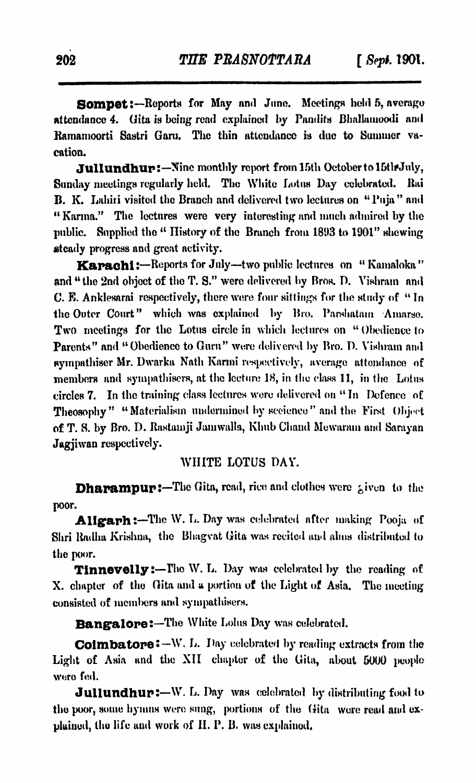**Sompet:—Report» for May and June. Meeting» held 5, average attendance 4. Gita is being read explained by Pandits Bhallamoodi and** Ramamoorti Sastri Garu. The thin attendance is due to Summer va**cation.**

**Jullundhur: —Nine monthly report from 15th October to 15tl# July, Sunday meetings regularly held. The White Lotus Day celebrated, llai B. K. Lahiii visited the Branch and delivered two lectures on "Puja" and " Karina." The lectures were very interesting and much admired by the** public. Supplied the " History of the Branch from 1893 to 1901" shewing **steady progress and great activity.**

**Karachi:** -- Reports for July--two public lectures on "Kamaloka" and "the 2nd object of the T. S." were delivered by Bros. D. Vishram and **C. E. Anklesarai respectively, there were four sittings for the study of " In the Outer Court" which was explained by Bro. Parsliatain Amarso. Two meetings for the Lotus circle in which lectures on " Obedience to Parents" and " Obedience to Guru" were delivered by Bro. D. Yishrain and sympathiser Mr. Dwarka Nath Karmi respectively, average attendance of members and sympathisers, at the lecture 18, in the class 11, in the Lotus circles 7. In the training class lectures were delivered on " In Defence of Theosophy" " Materialism undermined by sceience" and the First Object of T. S. by Bro. D. Rastamji Jam walla, Klmb Chand Mewarain and Sarayan Jagjiwan respectively.**

#### **WHITE LOTUS DAY.**

**Dhapampur:—The Gita, read, rice and clothes were ¿ivun to the poor.**

**Aligarh:**—The W. L. Day was celebrated after making Pooja of **Sim Radha Krishna, the Bhagvat Gita was recited and alms distributed to the poor.**

**Tinnevelly:—The W. L. Day was celebrated by the reading of X. chapter of the Gita and a portion of the Light of Asia. The meeting consisted of members and sympathisers.**

**Bangalore:—The White Loins Day was celebrated.**

**Coimbatore •—w. L. Day celebrated by reading extracts from the Light of Asia and the XII chapter of the Gita, about 5000 people were fed.**

**Jullundhur:**—W. L. Day was celebrated by distributing food to **the poor, some hymns were sung, portions of the Gita were read and explained, the life and work of II. P. B. was explained.**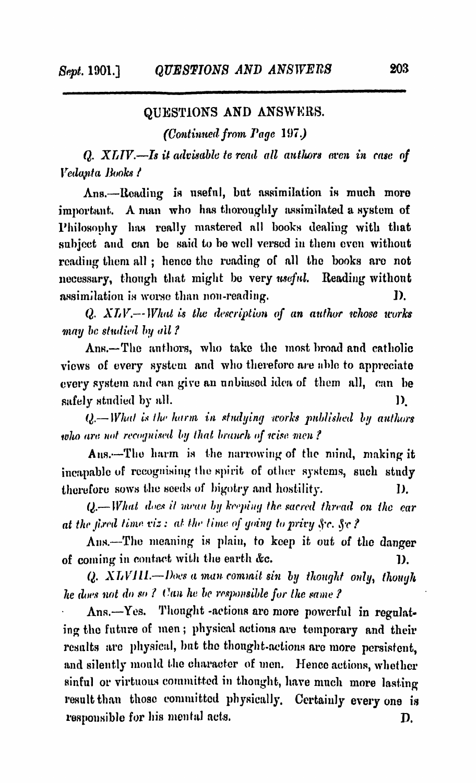#### **QUESTIONS AND ANSWERS.**

*(Continued from Page 197.)* 

*Q. XLIV.—Is it advisable te read all authors oven in case of V cdupta Books i*

**Ans.—Reading is useful, but assimilation is much more important. A man who has thoroughly assimilated a system of Philosophy has really mastered all books dealing with that subject and can be said to be well versed in them even without reading them all ; hence the reading of all the books are not necessary, though that might be very** *useful.* **Reading without assimilation is worse than non-reading.** D.

*Q. X 'I V* **.—** *W hat is the description o f an a u th o r whose works may be studied by all?* 

**Ans.—The authors, who take the most broad and catholic views of every system and who therefore are able to appreciate every system and can give an unbiased idea of them all, can he safely studied by all. 1).**

*Q* **.—** *W hat is the harm in stu d yin g works p u b lish ed by authors* who are not recognised by that branch of wise men?

**Ans.—The harm is the narrowing of the mind, making it incapable of recognising the spirit of other systems, such study therefore sows the seeds of bigotry and hostility. I).**

*Q* **.—** *W hat does it m ean by keeping the sacred thread on the ear at the fired time viz: at the time of going to privy Sc. Sc?* 

**Ans.—The meaning is plain, to keep it out of the danger of coming in contact with the earth** *&c.* **1).**

*Q. X T <sup>j</sup> V J IL — Does a m a n com m it sin by thought o n ly* **,** *though he does not do so?* Can he be responsible for the same?

**Ans.—Yes. Thought -actions are more powerful in regulating the future of men; physical actions are temporary and their results arc physical, but the thought-actions are more persistent, and silently mould the character of men. Hence actions, whether sinful or virtuous committed in thought, have much more lasting result than those committed physically. Certainly every one is responsible for his mental acts. D.**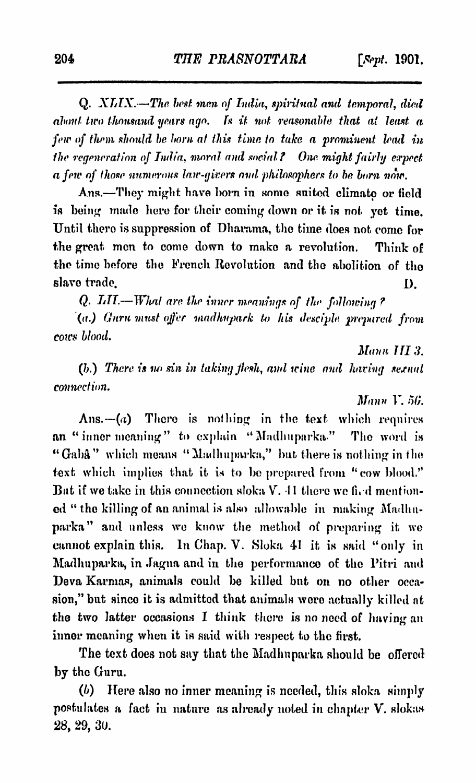Q. *XLTX.*—*The, best mem of India, spiritual and temporal, died about two thousand years ago*. *fs it not reasonable that at least a few of them should be horn at this time to take a prominent lead in the regeneration of India, moral and social? One. might fairly expect a few of those numerous law-givers and philosophers to be born now.*

Ans.-They might have born in some suited climate or field is being made here for their coming down or it is not yet time. Until there is suppression of Dharama, the time does not come for the great men to come down to make a revolution. Think of the time before the French Revolution and the abolition of the slave trade. I).

Q. *LIT.— What arc the inner meanings of the following ?*

*(a.) Guru must offer madhupark to his desciple prepared from coics blood*.

*Mann III 3.* 

*(1).) There is no sin in taking flesh, and wine and having sexual connection*.

*Mann V.* 56.

 $Ans. -a$ ) There is nothing in the text which requires an " inner meaning" to explain "Madhuparka." The word is " Gaba" which means "Madhuparka," but there is nothing in the text which implies that it is to be prepared from "cow blood." But if we take in this connection sloka *V*. 11 there we fied mentioned " the killing of an animal is also allowable in making Madlmparka" and unless we know the method of preparing it we cannot explain this. In Chap. V. Sloka 41 it is said " only in Madhuparka, in Jagna and in the performance of the Pitri and Deva Karmas, animals could be killed but on no other occasion," but since it is admitted that animals were actually killed at the two latter occasions I think there is no need of having an inner meaning when it is said with respect to the first.

The text does not say that the Madhuparka should be offered by the Guru.

*(b)* H ere also no inner meaning is needed, this sloka simply postulates a fact in nature as already noted in chapter V. slokas 28, 29, 3U.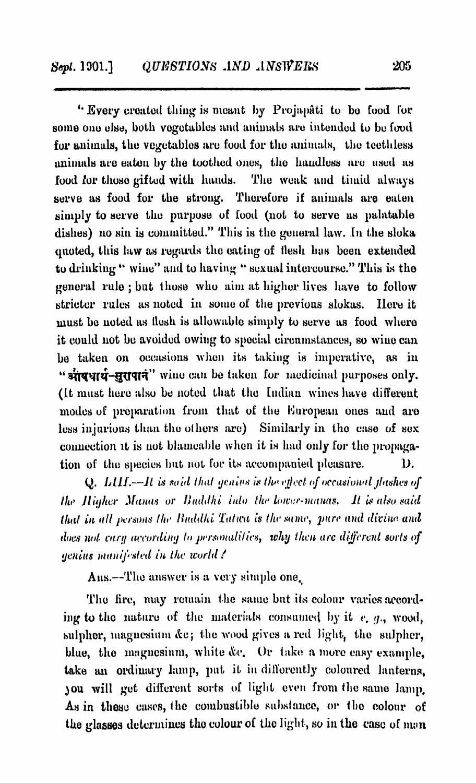**4\* Every created thing is meant by Projapati to bo food for some ono else, both vegetables and animals are intended to be food for animals, the vegetables are food for the animals, the toothless** animals are eaten by the toothed ones, the handless are used as **food for those gifted with hands. The weak and timid always serve as food for the strong. Therefore if animals are eaten simply to serve the purpose of food (not to serve as palatable dishes) no sin is committed." This is the general law. In the sloka quoted, this law as regards the eating of llesh 1ms been extended to drinking " wine" and to having " sexual intercourse." This is the general rule ; but those who aim at higher lives have to follow stricter rules as noted in sumo of the previous slokas. Here it must be noted as llesh is allowable simply to serve as food where it could not be avoided owing to special circumstances, so wine can be taken on occasions when its taking is imperative, as in** " situral purposes only. " wine can be taken for medicinal purposes only. **(It must hero also be noted that the Indian wines have different modes of preparation from that of the European ones and are** less injurious than the others are) Similarly in the case of sex **connection it is not blamoable when it is had only for the propagation of the species but not for its accompanied pleasure. D.**

**Q.** LHI.—It is said that genius is the effect of occasional flashes of *Ike Higher Manas or Buddhi into the lower-manas. It is also said that in all persons the Buddhi Tatwa is the same, pure and divine and does not cary according to personalities, why then arc different sorts of genius manifested in the world!* 

**Ans.—The answer is a very simple one.**

The fire, may remain the same but its colour varies according to the nature of the materials consumed by it e, g., wood, sulpher, magnesium &c; the wood gives a red light, the sulpher, blue, the magnesium, white &c. Or take a more easy example, **take an ordinary lamp, put it in differently coloured lanterns, ^ou will get different sorts of light even from the same lamp.** As in these cases, the combustible substance, or the colour of **the glasses determines the colour of the light, so in the case of man**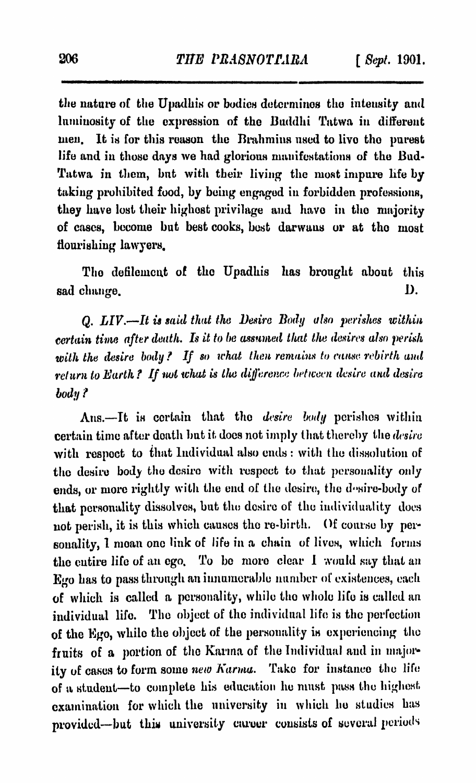the nature of the Upadhis or bodies determines the intensity and luminosity of the expression of the Buddlii Tatwa in different men. It is for this reason the Brahmins used to live the purest life and in those days we had glorious manifestations of the Bud-Tatwa in them, but with their living the most impure life by taking prohibited food, by being engaged in forbidden professions, they have lost their highest privilage and have in the majority of cases, become but best cooks, best darwaus or at the most flourishing lawyers,

Tho defilement of the Upadhis has brought about this sad change. D.

*Q. LIV.—It is said that the Desire Body also perishes within certain time after death. Is it to be assumed that the desires also perish* with the desire body? If so what then remains to cause rebirth and *return to Earth? If not what is the difference between desire and desire body ?*

Ans.—It is certain that the *desire body* perishes within certain time after death Imt it docs not imply that thereby the *desire* with respect to that Individual also ends : with the dissolution of the desire body the desire with respect to that personality only ends, or more rightly with the end of the desire, the desire-body of that personality dissolves, but the desire of the individuality does not perish, it is this which causes tho re-birth. Of course by personality, I mean one link of life in a chain of lives, which forms the entire life of an ego. To be more clear 1 would say that an Ego has to pass through an innumerable number of existences, each of which is called a personality, while tho whole life is called an individual life. The object of the individual life is the perfection of the Ego, while the object of the personality is experiencing tho fruits of a portion of the Karma of the Individual and in majority of cases to form some *new Karma*. Take for instance the life of a student-to complete his education he must pass the highest examination for which the university in which ho studies has provided—but this university career consists of several periods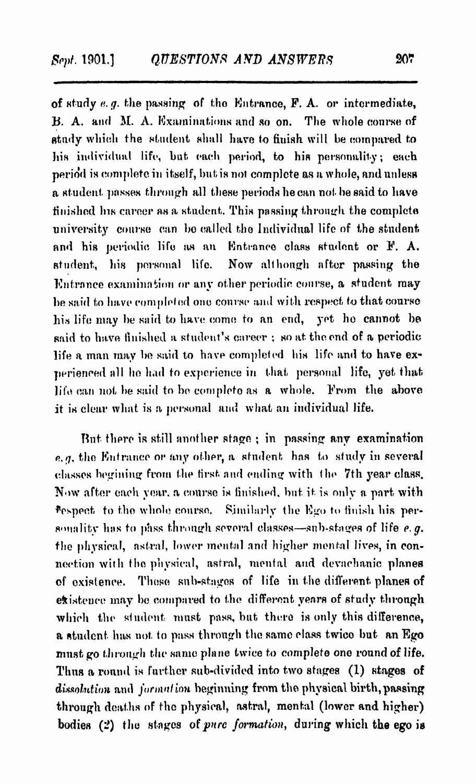**of study** *a. g.* **the passing of the Entrance, P. A. or intermediate, 13. A. and M. A. Examinations and so on. The whole course of study which the student shall have to finish will be compared to his individual life, but each period, to his personality; each period is complete in itself, but is not complete as a whole, and unless a student passes through all these periods he can not he said to have finished Ins career as a student. This passing through the complete university course can be called the Individual life of the student, and his periodic life as an Entrance class student or P. A.** student, his personal life. Now although after passing the **Entrance examination or any other periodic course, a student may he said to have completed one course and with respect to that course his life may he said to have come to an end, yet he cannot be said to have finished a student's career ; so at. the end of a periodic life a man inav ho said to have completed his life and to have experieneed all he had to experience in that, personal life, yet that, life can not he said to he complete as a whole. Prom the above it is clear what is a personal and what an individual life.**

**Hut there is still another stage ; in passing any examination** *e.q.* the Entrance or any other, a student has to study in several **classes hegmiug from the first, and ending with the 7th year class. Now after each year, a course is finished, but. it is only a. part with Respect, to the whole course, Similarly the Ego to finish his personality lias to pass through several classes—sub-stages of life** *e .g .* **the physical, astral, lower mental and higher mental lives, in connection with the physical, astral, mental and devaehanic planes of existence. These sub-stages of life in the different, planes of existence may he compared to the different years of study through which the student, must pass, but there is only this difference, a student, has not. to pass through the same class twice but an Ego must go through the same plane twice to complete one round of life. Thus a round is further sub-divided into two stages (1) stages of** *d isso lu tio n* **and** *jo n m tf'u m* **beginning from the physical birth, passing through deaths of the physical, astral, mental (lower and higher) bodies** (2) the stages of *pure formation*, during which the ego is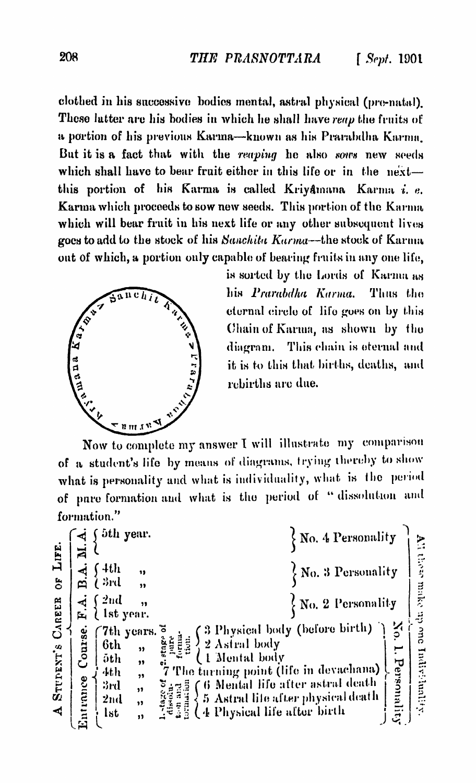

| 208                                               |                                                                                                                                                                                                                                                                                                                                                                                                                                                                                                                                                                                                                                                                                                                 | THE PRASNOTTARA                                                                                                                                                                                                            | $[$ Sept. 1901                                                        |
|---------------------------------------------------|-----------------------------------------------------------------------------------------------------------------------------------------------------------------------------------------------------------------------------------------------------------------------------------------------------------------------------------------------------------------------------------------------------------------------------------------------------------------------------------------------------------------------------------------------------------------------------------------------------------------------------------------------------------------------------------------------------------------|----------------------------------------------------------------------------------------------------------------------------------------------------------------------------------------------------------------------------|-----------------------------------------------------------------------|
|                                                   | clothed in his successive bodies mental, astral physical (pre-natal).<br>These latter are his bodies in which he shall have reap the fruits of<br>a portion of his previous Karma-known as his Prarabdha Karma.<br>But it is a fact that with the reaping he also sons new seeds<br>which shall have to bear fruit either in this life or in the next-<br>this portion of his Karma is called Kriyamana Karma i. e.<br>Karma which proceeds to sow new seeds. This portion of the Karma<br>which will bear fruit in his next life or any other subsequent lives<br>goes to add to the stock of his Sanchita Karma-the stock of Karma<br>out of which, a portion only capable of bearing fruits in any one life, | is sorted by the Lords of Karma as                                                                                                                                                                                         |                                                                       |
| <b>Harbour</b><br>anana.                          | anchil<br>Miller                                                                                                                                                                                                                                                                                                                                                                                                                                                                                                                                                                                                                                                                                                | his Prarabdha Karma.<br>eternal circle of life goes on by this<br>Chain of Karma, as shown by the<br>diagram.<br>it is to this that births, deaths, and<br>rebirths are du <b>e.</b>                                       | Thus the<br>This chain is eternal and                                 |
|                                                   | $P_{n \text{ in } n}$<br>Now to complete my answer I will illustrate my comparison<br>of a student's life by means of diagrams, trying thereby to show<br>what is personality and what is individuality, what is the period<br>of pare formation and what is the period of "dissolution and<br>formation."                                                                                                                                                                                                                                                                                                                                                                                                      |                                                                                                                                                                                                                            |                                                                       |
| ∢<br>ø<br>$\mathbf{F}$                            | f 5th year.<br>$\int 4th$<br>11<br>્રો કોવી<br>,,<br>$\sqrt{2nd}$<br>,,<br>† 1st year.                                                                                                                                                                                                                                                                                                                                                                                                                                                                                                                                                                                                                          |                                                                                                                                                                                                                            | $\left\{$ No. 4 Personality<br>No. 3 Personality<br>No. 2 Personality |
| STUDENT'S CAREER OF LIFE<br>Entrance Course.<br>4 | 7th years.<br>6th<br>19<br>öth<br>,,<br>4th<br>,,<br>3rd<br>olu<br>Mid<br>Mi<br>,,<br>2nd<br>,,<br><b>lst</b><br>ø                                                                                                                                                                                                                                                                                                                                                                                                                                                                                                                                                                                              | (3 Physical body (before birth))<br>2 Astral body<br>( 1 Mental body<br>7 The turning point (life in devachana)<br>( 6 Mental life after astral death<br>5 Astral life after physical death<br>4 Physical life after birth | All these make my one Individuality<br>1. Personality                 |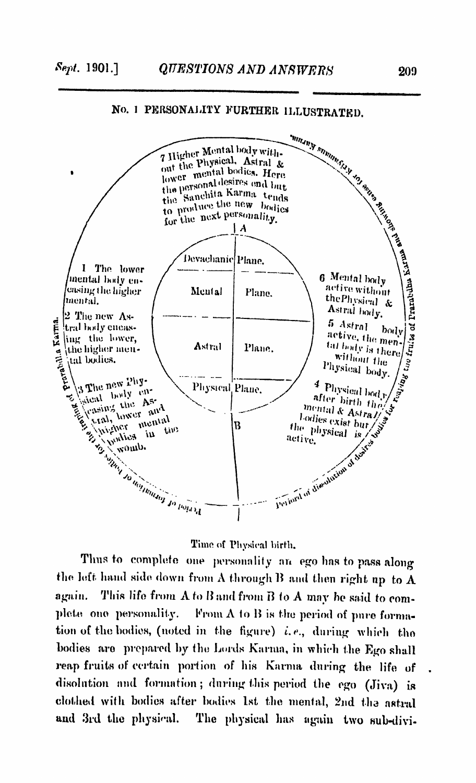

## No. 1 PERSONALITY FURTHER ILLUSTRATED.

#### Time of Physical birth.

Thus to complete one personality an ego has to pass along the left hand side down from A through B and then right up to  $A$ again. This life from  $A$  to  $B$  and from  $B$  to  $A$  may be said to complete one personality. From  $A$  to  $B$  is the period of pure formation of the bodies, (noted in the figure)  $i.e.,$  during which the bodies are prepared bv tho Lords Karma, in which the Ego shall reap fruits of certain portion of his Karma during the life of disolution and formation; during this period the ego (Jiva) is clothed with bodies after bodies 1st the menial, 2nd the astral and 3rd the physical. The physical has again two sub-divi-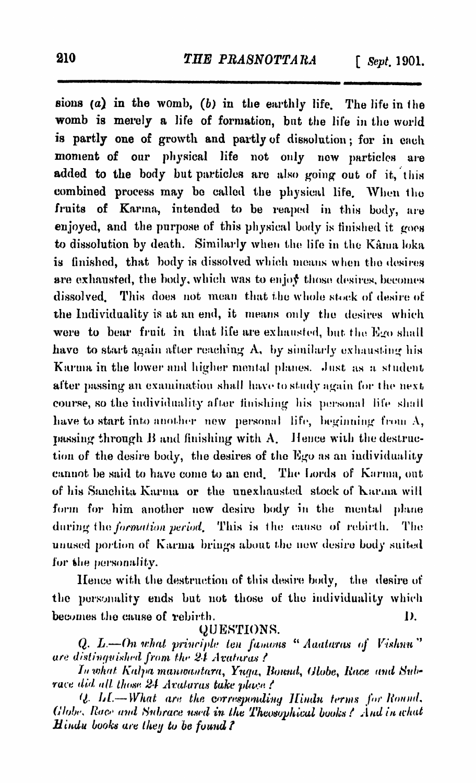**sions** (a) in the womb, (b) in the earthly life. The life in the **womb is merely a life of formation, but the life in the world is partly one of growth and partly of dissolution; for in each moment of our physical life not only now particles are added to the body but particles are also going out of it, this combined process may bo called the physical life. When the fruits of Karma, intended to be reaped in this body, are enjoyed, and the purpose of this physical body is finished it goes to dissolution by death. Similarly when the life in the Kama loka is finished, that body is dissolved which means when the desires are exhausted, the body, which was to en jof those desires, becomes dissolved. This does not mean that the whole stork of desire of the Individuality is at an end, it means only the desires which** were to bear fruit in that life are exhausted, but the Ego shall **have to start again after reaching A, by similarly exhausting his Karma in the lower and higher mental planes. .Inst as a student** after passing an examination shall have to study again for the next **course, so the individuality after finishing his personal life shall have to start into another now personal life, beginning from A,** passing through B and finishing with A. Hence with the destruc**tion of the desire body, the desires of the Kgo as an individuality** cannot be said to have come to an end. The Lords of Karma, out **of his Sanchita Karma or the unexhausted stock of Karma will form for him another now desire body in the mental plane** during the *formation period.* This is the cause of rebirth. The **unused portion of Karma brings about the new desire body suited for the personality.**

**lienee with the destruction of this desire body, the desire of the personality ends but not those of the individuality which becomes the cause of rebirth. 1).**

**yUENTlONS.**

*Q. L.*—On what principle ten famous " Aaataras of Vishnu" *ure distinguished. from the 24 Avaturas?* 

*In w h a t K a lp a m a u w a n ta ra* **,** *Y ufja. B o u n d* **,** *(Jlube% R a ce a n d Svf>~ race d id a ll those 2 4 A v a ta r as ta ke p lace f*

*U. L.I.*—What are the corresponding Hindu terms for Round. *(Hobe, Race and Subrace used in the Theosophical books / And in what H* indu books are they to be found?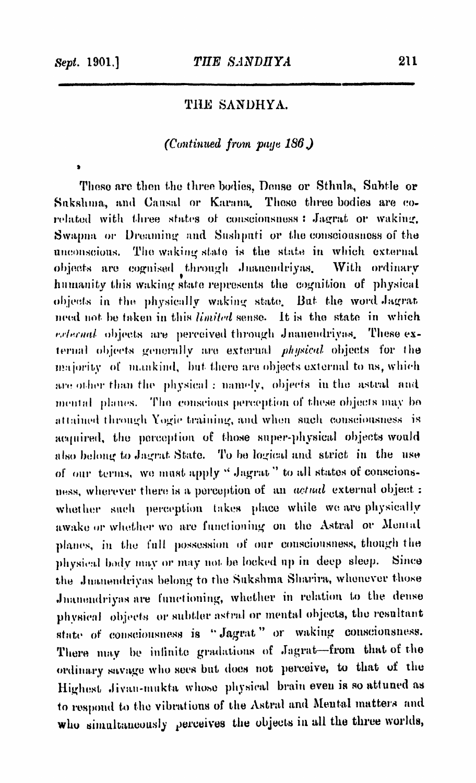*\**

## **THE SANDHYA.**

#### *(Continued from patju 186.)*

**Those are then the three bodies, Dense or Stlmla, Subtle or Snkshma, and Causal or Karana. Those three bodies are corelated with three states of consciousness : Jagrat or waking, Swapna or Dreaming and Sushputi or the consciousness of the unconscious. The waking stale is the state in which external objects are cognised through Jiiaucndriyas. With ordinary humanity this waking stale represents the cognition of physical** objects in the physically waking state. But the word Jagrat need not be taken in this *limited* sense. It is the state in which *r.rhernal* objects are perceived through Jnanendrivas. These ex**ternal objects generally are external** *physical* **objects for the** majority of mankind, but there are objects external to us, which **are other than the physical: nanndv, objects in the astral and menial planes. The conscious perception of these objects may bo** attained through Yogie training, and when such consciousness is **acquired, the perception of those super-physical objects would** also belong to Jagrat State. To be logical and strict in the use of our terms, we must apply "Jagrat" to all states of conscionsness, wherever there is a perception of an *actual* external object: **whether such perception takes place while we are physically** awake or whether wo are functioning on the Astral or Mental **planes, in the full possession of our consciousness, though the physical body may or may not be locked up in deep sleep. Since** the Juanendriyas belong to the Sukshma Sharira, whenever those **Jnanendriyas are functioning, whether in relation to the dense physical objects or subtler astral or mental objects, the resultant state of consciousness is " Jagrat " or waking consciousness. There may be infinite gradations of Jagrat—from that of the ordinary savage who sees but docs not perceive, to that of the Highest ,Jivati-iinikla whose physical brain eveii is so attuned as to respond to the vibrations of the Astral anil Mental matters and** who **simultaneously** perceives **the objects in all the** three worlds,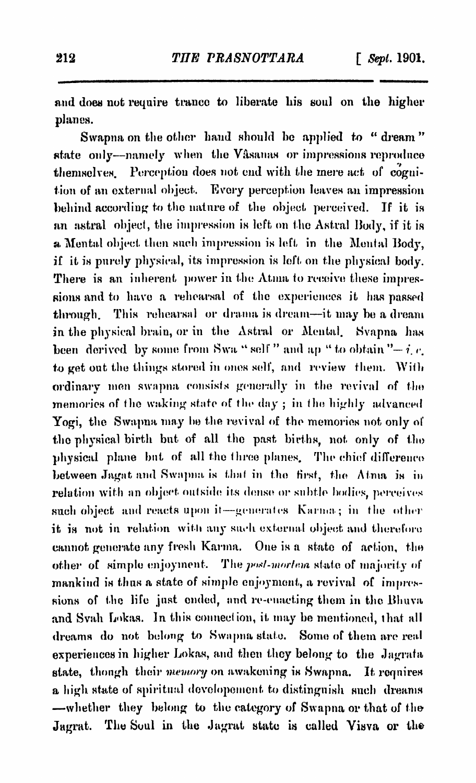**and does not require trance to liberate bis soul on the higher planes.**

**Swapna on the other hand should be applied to " dream" state only—namely when the Vasanas or impressions reproduce themselves. Perception does not end with the mere act of cognition of an external object. Every perception leaves an impression behind according to the nature of the object perceived. If it is** an astral object, the impression is left on the Astral Body, if it is a Mental object then such impression is left in the Mental Body, **if it is purely physical, its impression is left on the physical body. There is an inherent power in the Atma to receive these impressions and to have a rehearsal of the experiences it has passed through. This rehearsal or drama is dream—it may be a dream in the physical brain, or in the Astral or Mental. Svapna has been derived by some from Swa " self " and ap " to obtain "** $-i$ **,**  $c$ **, to get out the things stored in ones self, and review them. With ordinary men swapna consists generally in the revival of the memories of the waking state of the day ; in the highly advanced Yogi, the Swapna may he the revival of the memories not only of** the physical birth but of all the past births, not only of the **physical plane hat of all the three planes. The chief difference between Jagat and Swapna is that in the first, the Atma is in relation with an object outside its dense or subtle bodies, perceives such object and reacts upon it—generates Karma ; in the other it is not in relation with any such external object and therefore** cannot generate any fresh Karma. One is a state of action, the **other of simple enjoyment.** The *post-morten* state of majority of **mankind is thus a state of simple enjoyment, a revival of impres**sions of the life just ended, and re-enacting them in the Bhuva and Svah Lokas. In this connection, it may be mentioned, that all **dreams do not belong to Swapna stale. Some of them are real** experiences in higher Lokas, and then they belong to the Jagrata **state, though their** *memory* **on awakening is Swapna. It requires a high state of spiritual dcvelopement, to distinguish such dreams —whether they belong to the category of Swapna or that of the Jagrat. The Soul in the Jagrat state is called Yisva or the**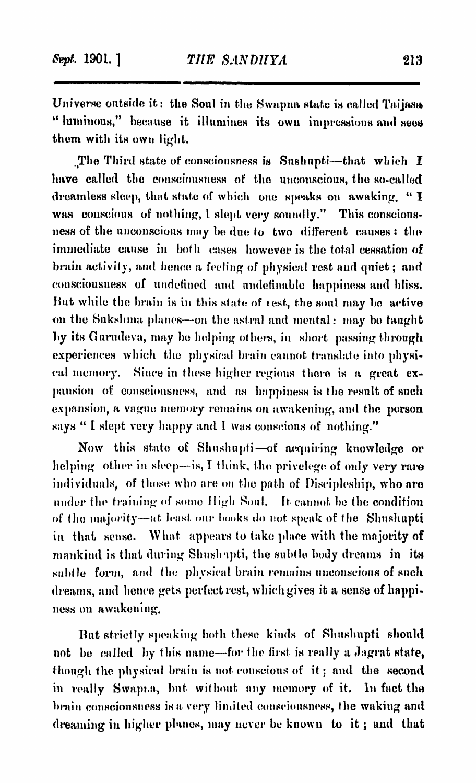Universe outside it: the Soul in the Swapna state is called Taijasa " luminous," because it illumines its own impressions and sees them with its own light.

. The Third state of consciousness is Snshnpti--that which  $I$ have called the consciousness of the unconscious, the so-called dreamless sleep, that state of which one speaks on awaking. " I was conscious of nothing, I slept very soundly." This conscionsness of the unconscious may be due to two different causes: the immediate cause in both cases however is the total cessation of brain activity, and hence a feeling of physical rest and quiet; and consciousness of undefined and nndefinable happiness and bliss. Hut while the brain is in this state of icsf, the soul may ho active on the Sukshma planes—on the astral and mental: may be taught by its Guriuleva, may he helping others, in short passing through experiences which the physical brain cannot translate into physical memory. Since in these higher regions there is a great expansion of consciousness, and as happiness is the result of such expansion, a vague memory remains on awakening, and the person says " I slept very happy and I was conscious of nothing."

Now this state of Shushupti-of acquiring knowledge or helping other in sleep—is, I think, the privelege of only very rare individuals, of those who are on the path of Discipleship, who aro under the training of some High Soul. It cannot he the condition of the majority—at least our books do not speak of the Shushupti in that sense. What appears to take place with the majority of mankind is that during Shushapti, the subtle body dreams in its subtle form, and the physical brain remains unconscious of such dreams, and hence gets perfect rest, which gives it a sense of happiness on awakening.

But strictly speaking both these kinds of Shushupti should not be called by this name--for the first is really a Jagrat state, though the physical brain is not conscious of it; and the second in really Swapi.a, but without any memory of it. In fact the brain consciousness is a very limited consciousness, the waking and dreaming in higher planes, may never be known to it; and that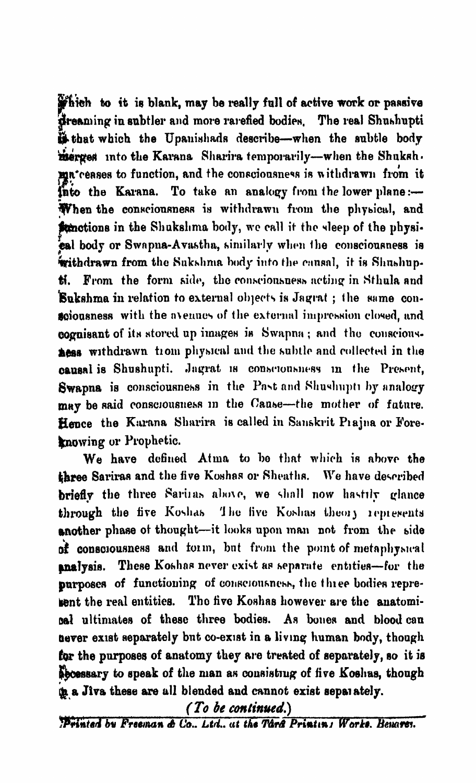**jp&ieh to it is blank, may be really full of active work or passive dreaming in subtler and more rarefied bodies.** The real Shushupti **that which the Upauisliads describe—when the subtle body merged into the Karana Sharira temporarily—when the Shuksh. mu**\* ceases to function, and the consciousness is withdrawn from it **into the Karana. To take an analogy from the lower plane:— When the conscionsness is withdrawn from the phybical, and #motions in the Shukslima body, we call it the sleep of the physical body or Swnpna-Avastha, similarly when tlie consciousness is Withdrawn from the Sukshma body into the cansal, it is Shushupti. From the form side, the consciousness acting in Stlmla and Sukshma in relation to external objects is Jagrat ; the same consciousness with the »\enuus of the external impression closed, and cognisant of its stored up images is Swapna ; and tho conscious-Aess** withdrawn trom physical and the subtle and collected in the **oausal is Shushupti. Jagrat is consciousness m the Present,** Swapna is consciousness in the Past and Shushupti by analogy **may be said consciousness m the Cause—the mother of future.** Hence the Karana Sharira is called in Sanskrit Piajna or Fore**knowing or Prophetic.**

**We have defined Atma to be that which is above the ¡three Sariras and the five Koshas or SheafIir. We have described** briefly the three Sariias above, we shall now hastily glance through the five Koshas 'The five Koshas theory represents **another phase ot thought—it looks upon man not from the side of consciousness and tonn, but from the point of metaphysical gmaTysis. These Koshas never exist as separate entities—for the** purposes of functioning of consciousness, the three bodies repre**sent the real entities. Tho five Koshas however are the anatomical ultimate» of these three bodies. As bones and blood cau Dover exist separately but co-exist in a living human body, though for the purposes of anatomy they are treated of separately, so it is p e ssa r y to speak of the man as consisting of five Koshas, though in a Jiva these are all blended and cannot exist sepaiately.** 

*(To be continued.)* 

*Withied bv Freeman & Co.. Ltd., at the TfarA Printm j Work». Bemrei*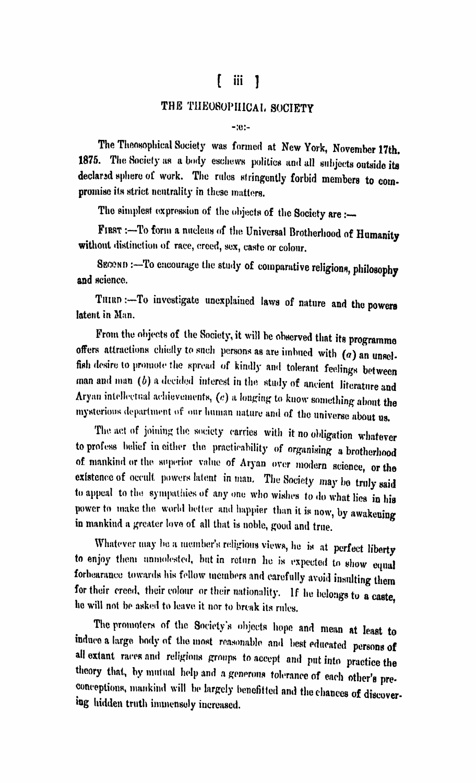## t iii ]

#### THE TUE080PII1CAI. SOCIETY

-:e:-

The Theosophical Society was formed at New York, November 17th. 1875. The Society as a body eschews politics and all subjects outside its declared sphere of work. The rules stringently forbid members to compromise its strict neutrality in these matters.

The simplest expression of the objects of the Society are :-

FIRST :- To form a nucleus of the Universal Brotherhood of Humanity without distinction of race, creed, sex, caste or colour.

SECOND :- To encourage the study of comparative religions, philosophy and science.

THIRD :- To investigate unexplained laws of nature and the powers latent in Man.

From the objects of the Society, it will be observed that its programme offers attractions cbielly to such persons as are imbued with *(a)* an unselfish desire to promote the spread of kindly and tolerant feelings between man and man *(b)* a decided interest in the study of ancient literature and Aryan intellectual achievements,  $(e)$  a longing to know something about the mysterious department of our human nature and of the universe about us.

The act of joining the society carries with it no obligation whatever to profess belief in either the practicability of organising a brotherhood of mankind or the superior value of Aryan over modem science, or the existence of occult powers latent in man. The Society may be truly said to appeal to the sympathies of any one who wishes to do what lies in his power to make the world better and happier than it is now, by awakening in mankind a greater love of all that is noble, good and true.

Whatever may be a member's religious views, he is at perfect liberty to enjoy them unmolested, but in return he is expected to show equal forbearance towards his fellow members and carefully avoid insulting them for their creed, their colour or their nationality. If he belongs to a caste. ho will not be asked to leave it nor to break its rules. '

The promoters of the Society's objects hope and mean at least to indneo a large body of the most reasonable and best educated persons of all extant races and religions groups to accept and put into practice the theory that, by mutual help and a generous tolerance of each other's preconceptions, mankind will be largely benefitted and the chances of discovering hidden truth immensely increased.